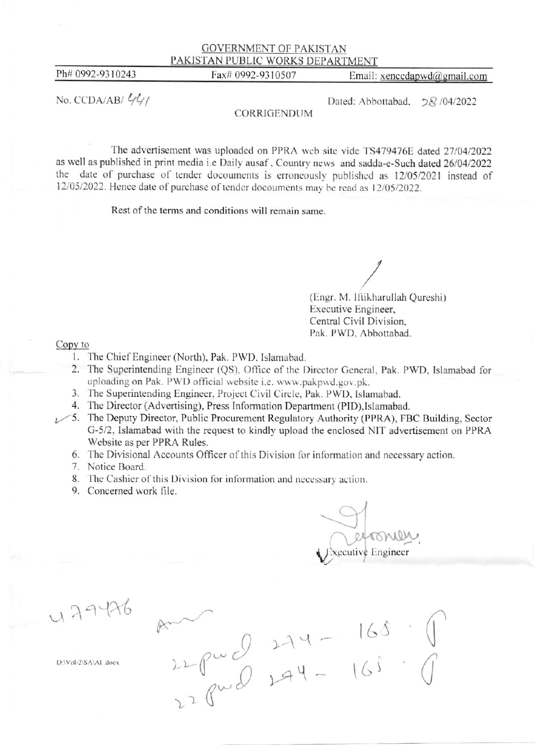## GOVERNMENT OF PAKISTAN PAKISTAN PUBLIC WORKS DEPARTMENT

Ph# 0992-9310243 Fax# 0992-9310507 Email: xenccdapwd@gmail.com

No. CCDA/AB/ $\frac{\ell_1 \ell_1}{\ell_2}$  Dated: Abbottabad,  $\sqrt{28}$  /04/2022

## CORRIGENDUM

The advertisement was uploaded on PPRA web site vide TS479476E dated 27/04/2022 as well as published in print media i.e Daily ausaf, Country news and sadda-e-Such dated 26/04/2022 the date of purchase of tender docouments is erroneously published as 12/05/2021 instead of 12/05/2022. Hence date of purchase of tender docouments may be read as 12/05/2022.

Rest of the terms and conditions will remain same.

(Engr. M. Iftikharullah Qureshi) Executive Engineer. Central Civil Division, Pak. PWD. Abbottabad.

Copy to<br>1. The Chief Engineer (North), Pak. PWD. Islamabad.

 $2 - 2 -$ 

 $R^{\sim}$ 

 $\varphi\circ$  $\left(\right)$ 

(-

c

 $2^2$ 

- 2. The Superintending Engineer (QS), Office of the Director General, Pak. PWD, Islamabad for uploading on Pak. PWD official website i.e. www.pakpwd.gov.pk.
- 3. The Superintending Engineer, Project Civil Circle, Pak. PWD, Islamabad.
- 4. The Director (Advertising), Press Information Department (PID), Islamabad.
- $\sim$ 5. The Deputy Director, Public Procurement Regulatory Authority (PPRA), FBC Building, Sector C-5/2, lslamabad with the request to kindly upload the enclosed NIT advertisement on PPRA Wcbsite as per PPRA Rules.

 $274$ 

- 6. The Divisional Accounts Officer of this Division for information and necessary action.
- 7. Notice Board.
- 8. The Cashier of this Division for information and necessary action.
- 9. Concerned work file.

 $\overline{\phantom{0}}$  $\diagdown\subset$ cecutive Engineer

l6J

(

 $\bigcap$ 

 $4 - 165$ 

 $179426$ 

 $D'Vol-2(SA)AL$  doex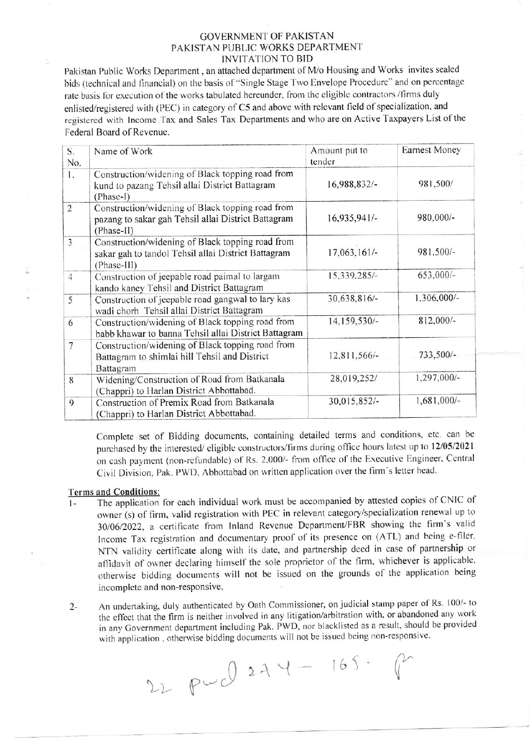## **GOVERNMENT OF PAKISTAN** PAKISTAN PUBLIC WORKS DEPARTMENT **INVITATION TO BID**

Pakistan Public Works Department, an attached department of M/o Housing and Works invites sealed bids (technical and financial) on the basis of "Single Stage Two Envelope Procedure" and on percentage rate basis for execution of the works tabulated hereunder, from the eligible contractors /firms duly enlisted/registered with (PEC) in category of C5 and above with relevant field of specialization, and registered with Income Tax and Sales Tax Departments and who are on Active Taxpayers List of the Federal Board of Revenue.

| S.<br>No.      | Name of Work                                                                                                           | Amount put to<br>tender | <b>Earnest Money</b> |
|----------------|------------------------------------------------------------------------------------------------------------------------|-------------------------|----------------------|
| 1.             | Construction/widening of Black topping road from<br>kund to pazang Tehsil allai District Battagram<br>(Phase-I)        | 16,988,832/-            | 981,500/             |
| $\overline{2}$ | Construction/widening of Black topping road from<br>pazang to sakar gah Tehsil allai District Battagram<br>(Phase-II)  | $16,935,941/-$          | 980,000/-            |
| $\overline{3}$ | Construction/widening of Black topping road from<br>sakar gah to tandol Tehsil allai District Battagram<br>(Phase-III) | 17,063,161/-            | 981,500/-            |
| $\overline{4}$ | Construction of jeepable road paimal to largam<br>kando kaney Tehsil and District Battagram                            | 15,339,285/-            | 653,000/-            |
| 5              | Construction of jeepable road gangwal to lary kas<br>wadi chorh Tehsil allai District Battagram                        | 30,638,816/-            | 1,306,000/-          |
| 6              | Construction/widening of Black topping road from<br>babb khawar to banna Tehsil allai District Battagram               | 14,159,530/-            | 812,000/-            |
| 7              | Construction/widening of Black topping road from<br>Battagram to shimlai hill Tehsil and District<br>Battagram         | 12,811,566/-            | 733,500/-            |
| 8              | Widening/Construction of Road from Batkanala<br>(Chappri) to Harlan District Abbottabad.                               | 28,019,252/             | 1,297,000/-          |
| 9              | Construction of Premix Road from Batkanala<br>(Chappri) to Harlan District Abbottabad.                                 | 30,015,852/-            | 1,681,000/-          |

Complete set of Bidding documents, containing detailed terms and conditions, etc. can be purchased by the interested/eligible constructors/firms during office hours latest up to 12/05/2021 on cash payment (non-refundable) of Rs. 2,000/- from office of the Executive Engineer, Central Civil Division, Pak. PWD, Abbottabad on written application over the firm's letter head.

## **Terms and Conditions:**

- The application for each individual work must be accompanied by attested copies of CNIC of  $1$ owner (s) of firm, valid registration with PEC in relevant category/specialization renewal up to 30/06/2022, a certificate from Inland Revenue Department/FBR showing the firm's valid Income Tax registration and documentary proof of its presence on (ATL) and being e-filer, NTN validity certificate along with its date, and partnership deed in case of partnership or affidavit of owner declaring himself the sole proprietor of the firm, whichever is applicable, otherwise bidding documents will not be issued on the grounds of the application being incomplete and non-responsive.
- An undertaking, duly authenticated by Oath Commissioner, on judicial stamp paper of Rs. 100/- to  $2$ the effect that the firm is neither involved in any litigation/arbitration with, or abandoned any work in any Government department including Pak. PWD, nor blacklisted as a result, should be provided with application, otherwise bidding documents will not be issued being non-responsive.

22 pwd 274 - 165. P